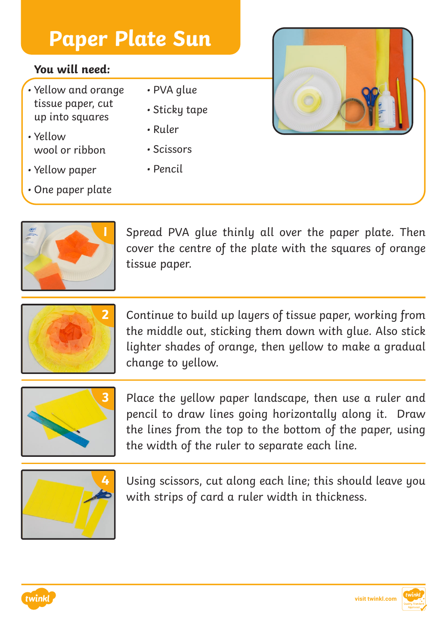### **You will need:**

- Yellow and orange tissue paper, cut up into squares
- Yellow wool or ribbon
- Yellow paper
- One paper plate
- PVA glue
- Sticky tape
- Ruler
- Scissors
- Pencil



**1** Spread PVA glue thinly all over the paper plate. Then cover the centre of the plate with the squares of orange tissue paper.



**2** Continue to build up layers of tissue paper, working from the middle out, sticking them down with glue. Also stick lighter shades of orange, then yellow to make a gradual change to yellow.



**3** Place the yellow paper landscape, then use a ruler and pencil to draw lines going horizontally along it. Draw the lines from the top to the bottom of the paper, using the width of the ruler to separate each line.



**4** Using scissors, cut along each line; this should leave you with strips of card a ruler width in thickness.



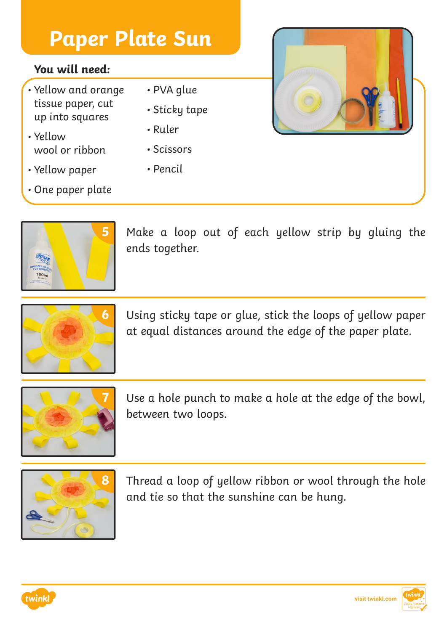#### **You will need:**

- Yellow and orange tissue paper, cut up into squares
- Yellow wool or ribbon
- Yellow paper
- One paper plate
- PVA glue
- Sticky tape
- Ruler
- Scissors
- Pencil

**5** Make a loop out of each yellow strip by gluing the ends together.



**6** Using sticky tape or glue, stick the loops of yellow paper at equal distances around the edge of the paper plate.



Use a hole punch to make a hole at the edge of the bowl, between two loops.



**8** Thread a loop of yellow ribbon or wool through the hole and tie so that the sunshine can be hung.



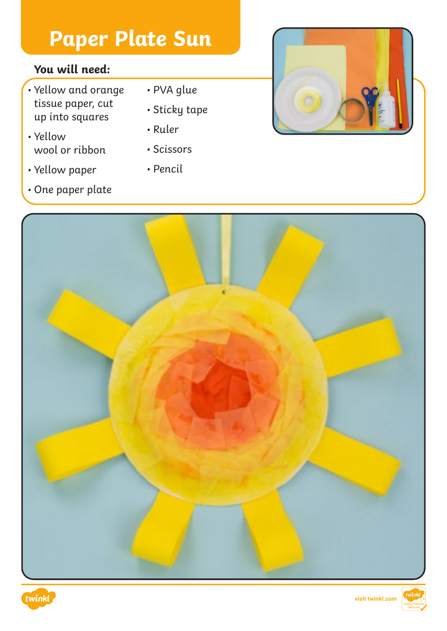## **You will need:**

- Yellow and orange tissue paper, cut up into squares
- Yellow wool or ribbon
- Yellow paper
- One paper plate
- PVA glue
- Sticky tape
- Ruler
- Scissors
- Pencil







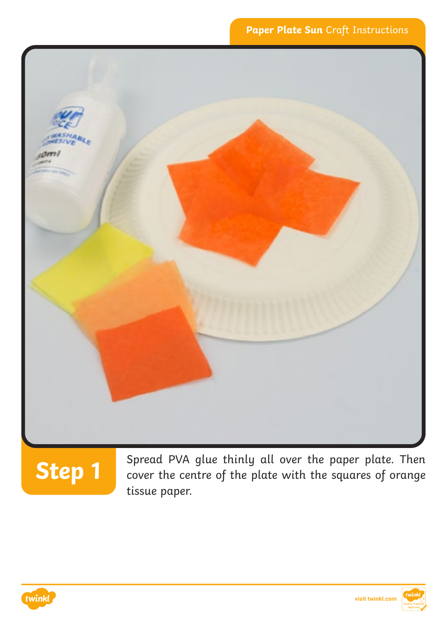

# **Step 1**

Spread PVA glue thinly all over the paper plate. Then cover the centre of the plate with the squares of orange tissue paper.



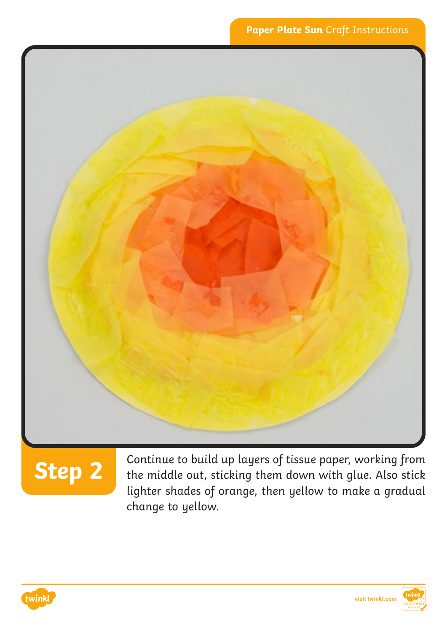

**Step 2** Continue to build up layers of tissue paper, working from<br>Step 2 the middle out, sticking them down with glue. Also stick lighter shades of orange, then yellow to make a gradual change to yellow.



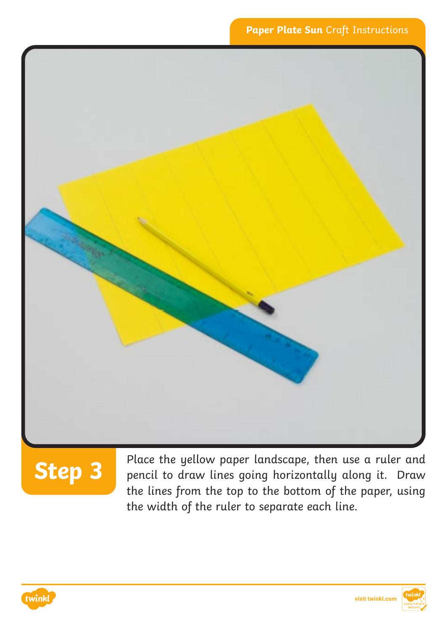

# **Step 3**

Place the yellow paper landscape, then use a ruler and pencil to draw lines going horizontally along it. Draw the lines from the top to the bottom of the paper, using the width of the ruler to separate each line.



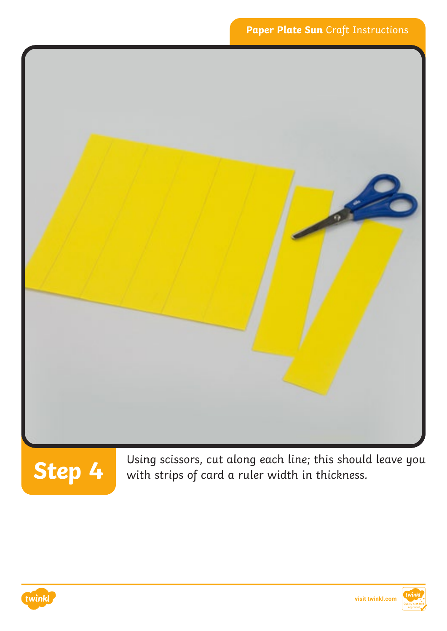



Using scissors, cut along each line; this should leave you<br>**Step 4** with strips of card a ruler width in thickness. with strips of card a ruler width in thickness.

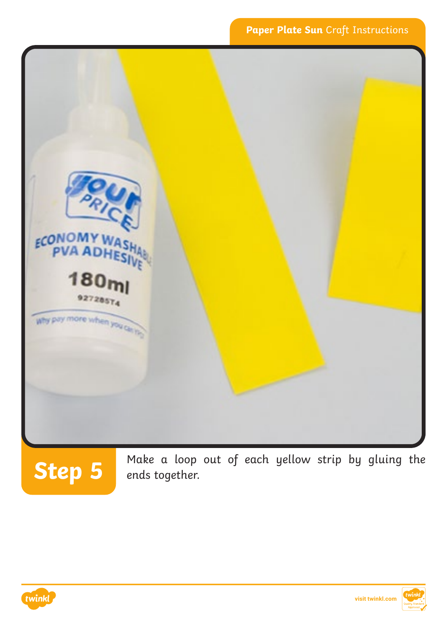

Make a loop out of each yellow strip by gluing the **Step 5** ends together.



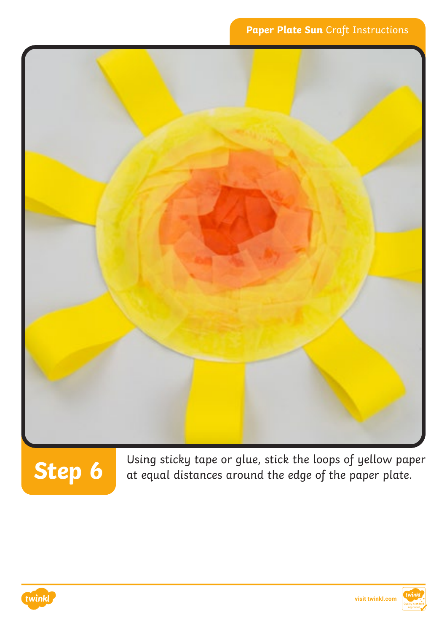

Using sticky tape or glue, stick the loops of yellow paper at equal distances around the edge of the paper plate.



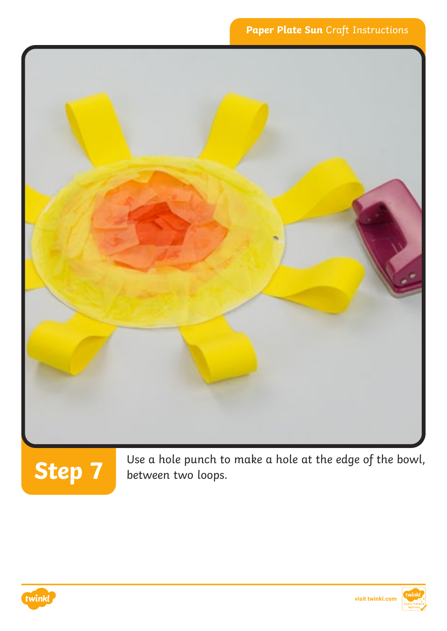

Use a hole punch to make a hole at the edge of the bowl, **Step 7** between two loops.



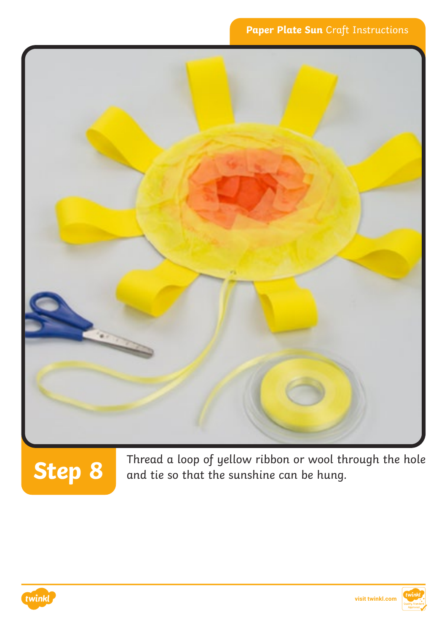

Thread a loop of yellow ribbon or wool through the hole and tie so that the sunshine can be hung.